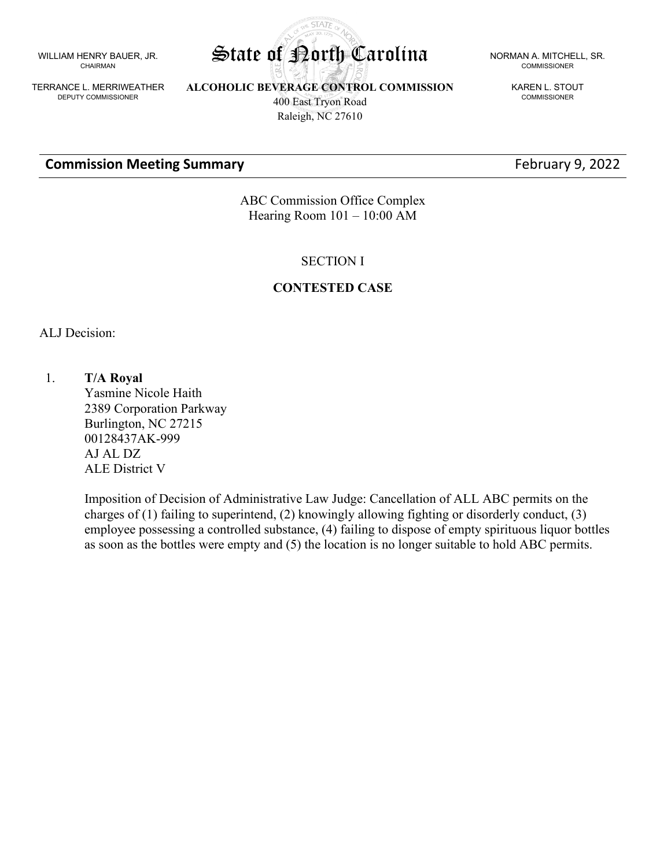WILLIAM HENRY BAUER, JR. CHAIRMAN

TERRANCE L. MERRIWEATHER DEPUTY COMMISSIONER

**ALCOHOLIC BEVERAGE CONTROL COMMISSION** 400 East Tryon Road Raleigh, NC 27610

**STATE** 

#### **Commission Meeting Summary Example 2022 February 9, 2022**

State of Porth Carolina NORMAN A. MITCHELL, SR. COMMISSIONER

> KAREN L. STOUT COMMISSIONER

ABC Commission Office Complex Hearing Room 101 – 10:00 AM

SECTION I

#### **CONTESTED CASE**

ALJ Decision:

1. **T/A Royal** Yasmine Nicole Haith 2389 Corporation Parkway Burlington, NC 27215 00128437AK-999 AJ AL DZ ALE District V

> Imposition of Decision of Administrative Law Judge: Cancellation of ALL ABC permits on the charges of (1) failing to superintend, (2) knowingly allowing fighting or disorderly conduct, (3) employee possessing a controlled substance, (4) failing to dispose of empty spirituous liquor bottles as soon as the bottles were empty and (5) the location is no longer suitable to hold ABC permits.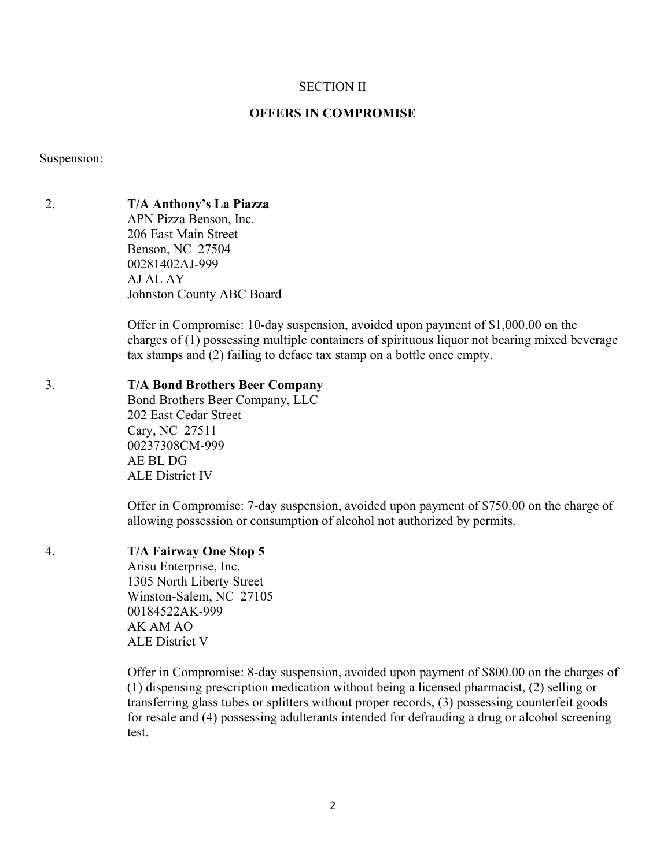#### SECTION II

#### **OFFERS IN COMPROMISE**

Suspension:

2. **T/A Anthony's La Piazza**

APN Pizza Benson, Inc. 206 East Main Street Benson, NC 27504 00281402AJ-999 AJ AL AY Johnston County ABC Board

Offer in Compromise: 10-day suspension, avoided upon payment of \$1,000.00 on the charges of (1) possessing multiple containers of spirituous liquor not bearing mixed beverage tax stamps and (2) failing to deface tax stamp on a bottle once empty.

# 3. **T/A Bond Brothers Beer Company**

Bond Brothers Beer Company, LLC 202 East Cedar Street Cary, NC 27511 00237308CM-999 AE BL DG ALE District IV

Offer in Compromise: 7-day suspension, avoided upon payment of \$750.00 on the charge of allowing possession or consumption of alcohol not authorized by permits.

# 4. **T/A Fairway One Stop 5**

Arisu Enterprise, Inc. 1305 North Liberty Street Winston-Salem, NC 27105 00184522AK-999 AK AM AO ALE District V

Offer in Compromise: 8-day suspension, avoided upon payment of \$800.00 on the charges of (1) dispensing prescription medication without being a licensed pharmacist, (2) selling or transferring glass tubes or splitters without proper records, (3) possessing counterfeit goods for resale and (4) possessing adulterants intended for defrauding a drug or alcohol screening test.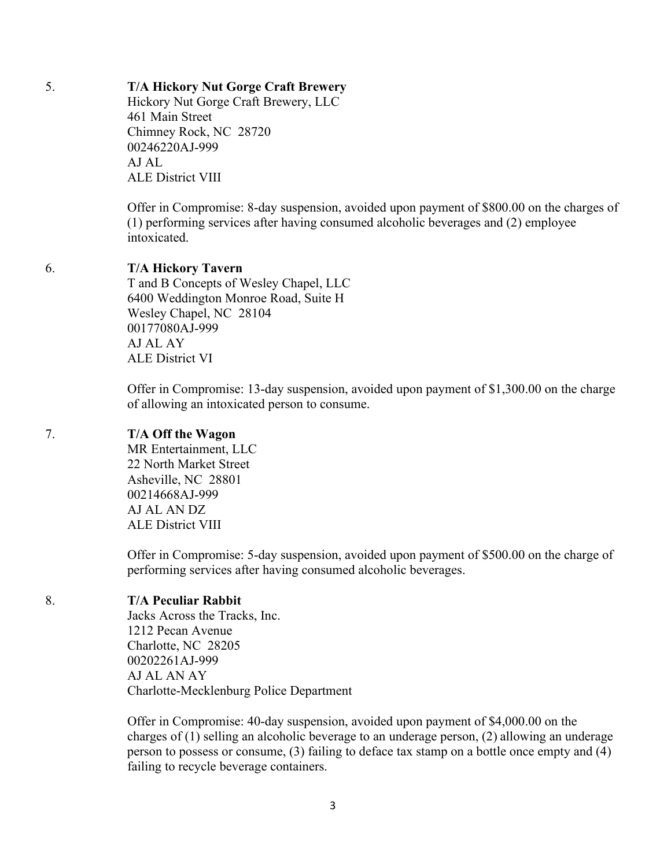# 5. **T/A Hickory Nut Gorge Craft Brewery**

Hickory Nut Gorge Craft Brewery, LLC 461 Main Street Chimney Rock, NC 28720 00246220AJ-999 AJ AL ALE District VIII

Offer in Compromise: 8-day suspension, avoided upon payment of \$800.00 on the charges of (1) performing services after having consumed alcoholic beverages and (2) employee intoxicated.

#### 6. **T/A Hickory Tavern**

T and B Concepts of Wesley Chapel, LLC 6400 Weddington Monroe Road, Suite H Wesley Chapel, NC 28104 00177080AJ-999 AJ AL AY ALE District VI

Offer in Compromise: 13-day suspension, avoided upon payment of \$1,300.00 on the charge of allowing an intoxicated person to consume.

# 7. **T/A Off the Wagon**

MR Entertainment, LLC 22 North Market Street Asheville, NC 28801 00214668AJ-999 AJ AL AN DZ ALE District VIII

Offer in Compromise: 5-day suspension, avoided upon payment of \$500.00 on the charge of performing services after having consumed alcoholic beverages.

# 8. **T/A Peculiar Rabbit**

Jacks Across the Tracks, Inc. 1212 Pecan Avenue Charlotte, NC 28205 00202261AJ-999 AJ AL AN AY Charlotte-Mecklenburg Police Department

Offer in Compromise: 40-day suspension, avoided upon payment of \$4,000.00 on the charges of (1) selling an alcoholic beverage to an underage person, (2) allowing an underage person to possess or consume, (3) failing to deface tax stamp on a bottle once empty and (4) failing to recycle beverage containers.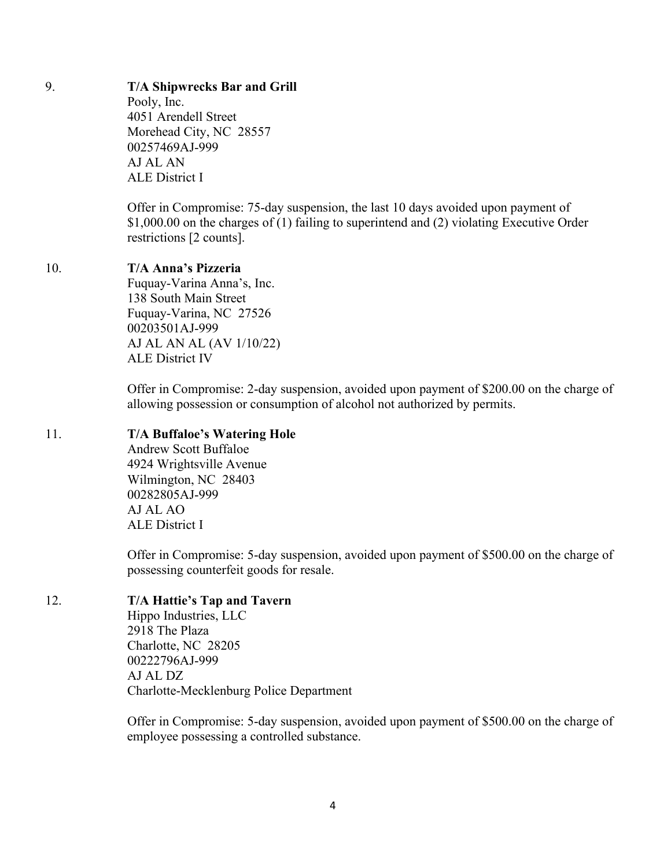# 9. **T/A Shipwrecks Bar and Grill**

Pooly, Inc. 4051 Arendell Street Morehead City, NC 28557 00257469AJ-999 AJ AL AN ALE District I

Offer in Compromise: 75-day suspension, the last 10 days avoided upon payment of \$1,000.00 on the charges of (1) failing to superintend and (2) violating Executive Order restrictions [2 counts].

# 10. **T/A Anna's Pizzeria**

Fuquay-Varina Anna's, Inc. 138 South Main Street Fuquay-Varina, NC 27526 00203501AJ-999 AJ AL AN AL (AV 1/10/22) ALE District IV

Offer in Compromise: 2-day suspension, avoided upon payment of \$200.00 on the charge of allowing possession or consumption of alcohol not authorized by permits.

# 11. **T/A Buffaloe's Watering Hole**

Andrew Scott Buffaloe 4924 Wrightsville Avenue Wilmington, NC 28403 00282805AJ-999 AJ AL AO ALE District I

Offer in Compromise: 5-day suspension, avoided upon payment of \$500.00 on the charge of possessing counterfeit goods for resale.

# 12. **T/A Hattie's Tap and Tavern**

Hippo Industries, LLC 2918 The Plaza Charlotte, NC 28205 00222796AJ-999 AJ AL DZ Charlotte-Mecklenburg Police Department

Offer in Compromise: 5-day suspension, avoided upon payment of \$500.00 on the charge of employee possessing a controlled substance.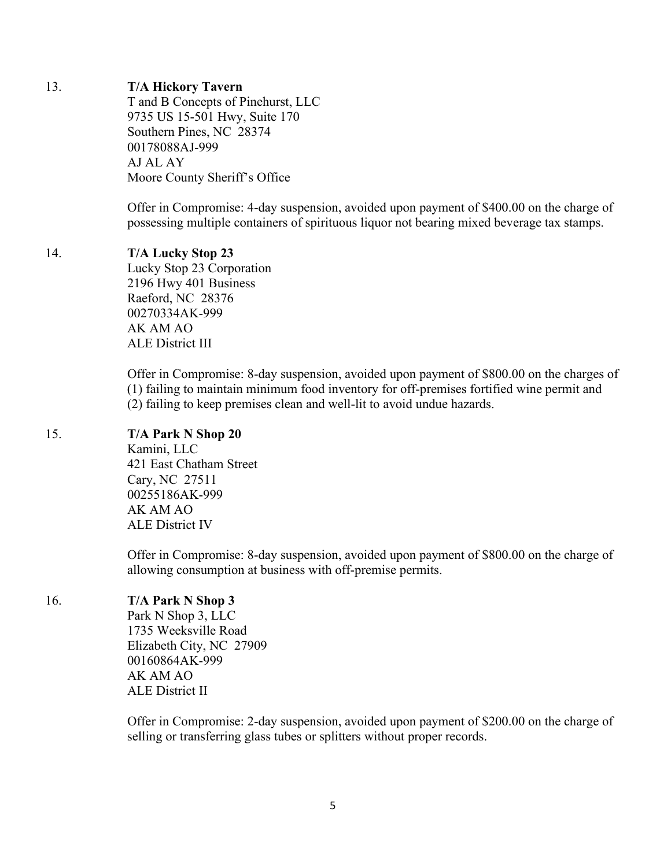#### 13. **T/A Hickory Tavern**

T and B Concepts of Pinehurst, LLC 9735 US 15-501 Hwy, Suite 170 Southern Pines, NC 28374 00178088AJ-999 AJ AL AY Moore County Sheriff's Office

Offer in Compromise: 4-day suspension, avoided upon payment of \$400.00 on the charge of possessing multiple containers of spirituous liquor not bearing mixed beverage tax stamps.

#### 14. **T/A Lucky Stop 23**

Lucky Stop 23 Corporation 2196 Hwy 401 Business Raeford, NC 28376 00270334AK-999 AK AM AO ALE District III

Offer in Compromise: 8-day suspension, avoided upon payment of \$800.00 on the charges of (1) failing to maintain minimum food inventory for off-premises fortified wine permit and (2) failing to keep premises clean and well-lit to avoid undue hazards.

#### 15. **T/A Park N Shop 20**

Kamini, LLC 421 East Chatham Street Cary, NC 27511 00255186AK-999 AK AM AO ALE District IV

Offer in Compromise: 8-day suspension, avoided upon payment of \$800.00 on the charge of allowing consumption at business with off-premise permits.

#### 16. **T/A Park N Shop 3**

Park N Shop 3, LLC 1735 Weeksville Road Elizabeth City, NC 27909 00160864AK-999 AK AM AO ALE District II

Offer in Compromise: 2-day suspension, avoided upon payment of \$200.00 on the charge of selling or transferring glass tubes or splitters without proper records.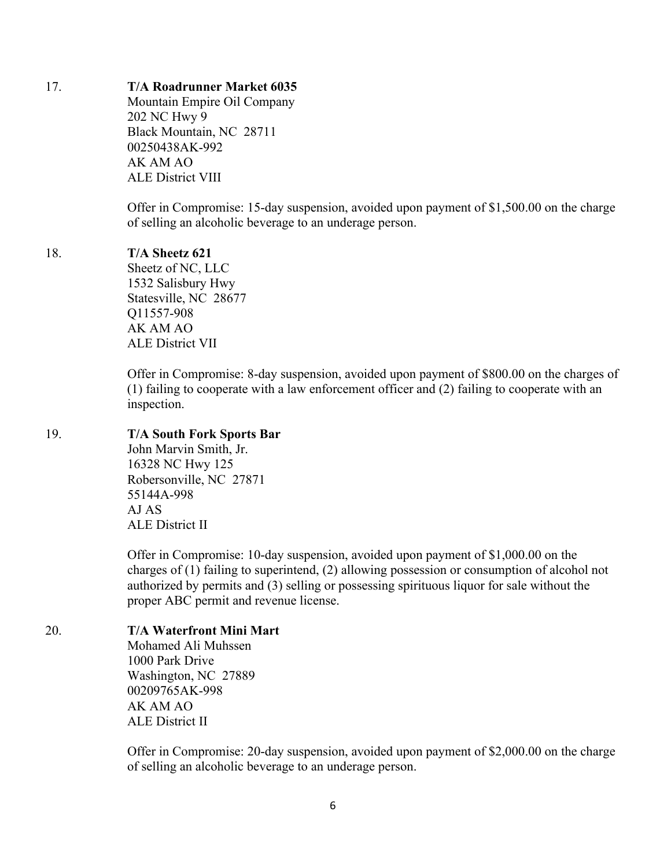#### 17. **T/A Roadrunner Market 6035**

Mountain Empire Oil Company 202 NC Hwy 9 Black Mountain, NC 28711 00250438AK-992 AK AM AO ALE District VIII

Offer in Compromise: 15-day suspension, avoided upon payment of \$1,500.00 on the charge of selling an alcoholic beverage to an underage person.

#### 18. **T/A Sheetz 621**

Sheetz of NC, LLC 1532 Salisbury Hwy Statesville, NC 28677 Q11557-908 AK AM AO ALE District VII

Offer in Compromise: 8-day suspension, avoided upon payment of \$800.00 on the charges of (1) failing to cooperate with a law enforcement officer and (2) failing to cooperate with an inspection.

### 19. **T/A South Fork Sports Bar**

John Marvin Smith, Jr. 16328 NC Hwy 125 Robersonville, NC 27871 55144A-998 AJ AS ALE District II

Offer in Compromise: 10-day suspension, avoided upon payment of \$1,000.00 on the charges of (1) failing to superintend, (2) allowing possession or consumption of alcohol not authorized by permits and (3) selling or possessing spirituous liquor for sale without the proper ABC permit and revenue license.

# 20. **T/A Waterfront Mini Mart**

Mohamed Ali Muhssen 1000 Park Drive Washington, NC 27889 00209765AK-998 AK AM AO ALE District II

Offer in Compromise: 20-day suspension, avoided upon payment of \$2,000.00 on the charge of selling an alcoholic beverage to an underage person.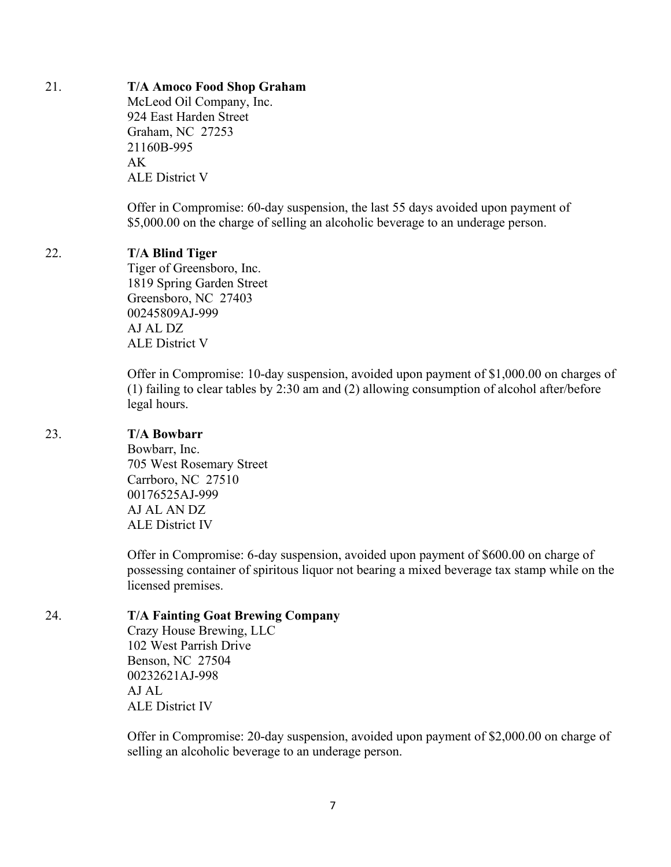#### 21. **T/A Amoco Food Shop Graham**

McLeod Oil Company, Inc. 924 East Harden Street Graham, NC 27253 21160B-995 AK ALE District V

Offer in Compromise: 60-day suspension, the last 55 days avoided upon payment of \$5,000.00 on the charge of selling an alcoholic beverage to an underage person.

#### 22. **T/A Blind Tiger**

Tiger of Greensboro, Inc. 1819 Spring Garden Street Greensboro, NC 27403 00245809AJ-999 AJ AL DZ ALE District V

Offer in Compromise: 10-day suspension, avoided upon payment of \$1,000.00 on charges of (1) failing to clear tables by 2:30 am and (2) allowing consumption of alcohol after/before legal hours.

### 23. **T/A Bowbarr**

Bowbarr, Inc. 705 West Rosemary Street Carrboro, NC 27510 00176525AJ-999 AJ AL AN DZ ALE District IV

Offer in Compromise: 6-day suspension, avoided upon payment of \$600.00 on charge of possessing container of spiritous liquor not bearing a mixed beverage tax stamp while on the licensed premises.

#### 24. **T/A Fainting Goat Brewing Company**

Crazy House Brewing, LLC 102 West Parrish Drive Benson, NC 27504 00232621AJ-998 AJ AL ALE District IV

Offer in Compromise: 20-day suspension, avoided upon payment of \$2,000.00 on charge of selling an alcoholic beverage to an underage person.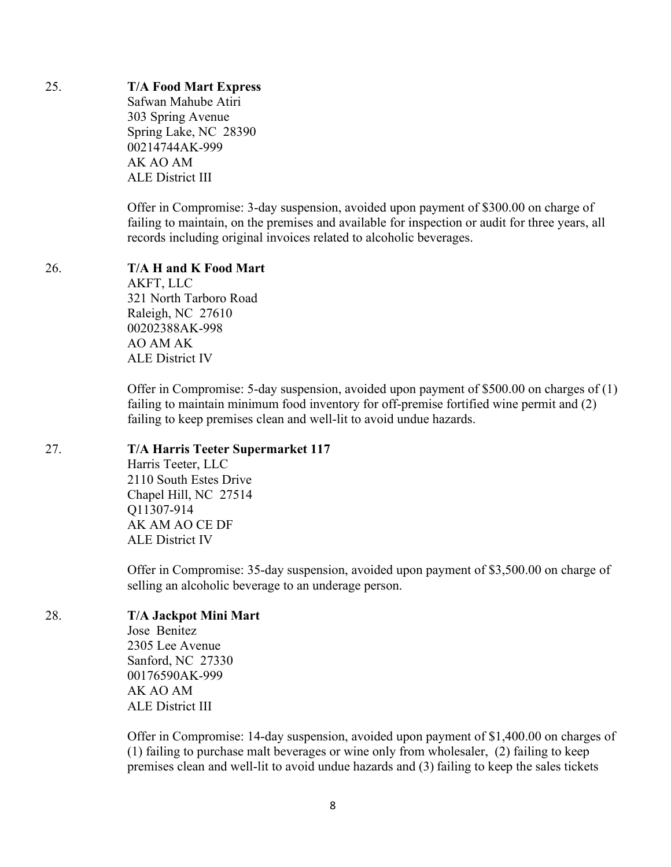# 25. **T/A Food Mart Express**

Safwan Mahube Atiri 303 Spring Avenue Spring Lake, NC 28390 00214744AK-999 AK AO AM ALE District III

Offer in Compromise: 3-day suspension, avoided upon payment of \$300.00 on charge of failing to maintain, on the premises and available for inspection or audit for three years, all records including original invoices related to alcoholic beverages.

#### 26. **T/A H and K Food Mart** AKFT, LLC 321 North Tarboro Road

Raleigh, NC 27610 00202388AK-998 AO AM AK ALE District IV

Offer in Compromise: 5-day suspension, avoided upon payment of \$500.00 on charges of (1) failing to maintain minimum food inventory for off-premise fortified wine permit and (2) failing to keep premises clean and well-lit to avoid undue hazards.

# 27. **T/A Harris Teeter Supermarket 117**

Harris Teeter, LLC 2110 South Estes Drive Chapel Hill, NC 27514 Q11307-914 AK AM AO CE DF ALE District IV

Offer in Compromise: 35-day suspension, avoided upon payment of \$3,500.00 on charge of selling an alcoholic beverage to an underage person.

# 28. **T/A Jackpot Mini Mart**

Jose Benitez 2305 Lee Avenue Sanford, NC 27330 00176590AK-999 AK AO AM ALE District III

Offer in Compromise: 14-day suspension, avoided upon payment of \$1,400.00 on charges of (1) failing to purchase malt beverages or wine only from wholesaler, (2) failing to keep premises clean and well-lit to avoid undue hazards and (3) failing to keep the sales tickets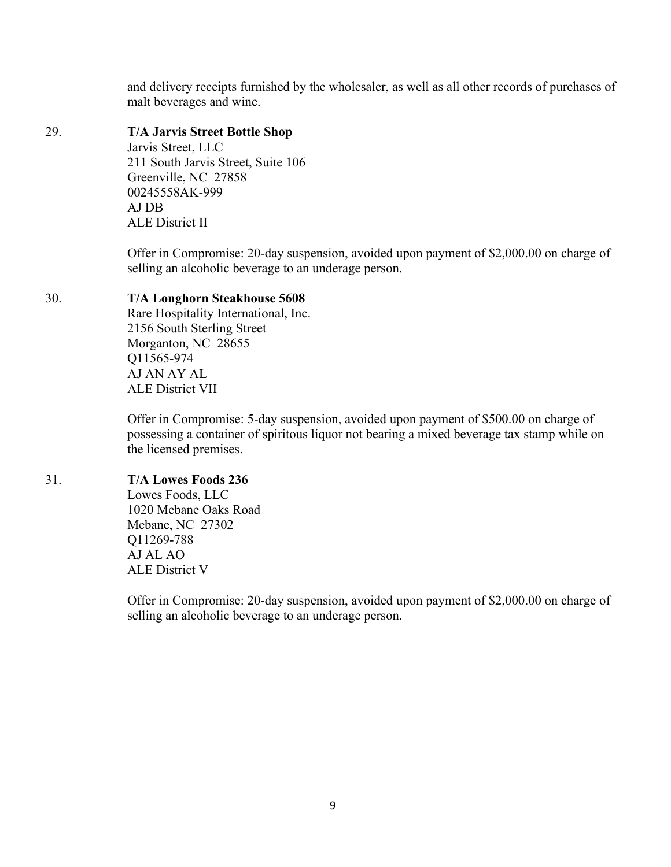and delivery receipts furnished by the wholesaler, as well as all other records of purchases of malt beverages and wine.

# 29. **T/A Jarvis Street Bottle Shop**

Jarvis Street, LLC 211 South Jarvis Street, Suite 106 Greenville, NC 27858 00245558AK-999 AJ DB ALE District II

Offer in Compromise: 20-day suspension, avoided upon payment of \$2,000.00 on charge of selling an alcoholic beverage to an underage person.

# 30. **T/A Longhorn Steakhouse 5608**

Rare Hospitality International, Inc. 2156 South Sterling Street Morganton, NC 28655 Q11565-974 AJ AN AY AL ALE District VII

Offer in Compromise: 5-day suspension, avoided upon payment of \$500.00 on charge of possessing a container of spiritous liquor not bearing a mixed beverage tax stamp while on the licensed premises.

# 31. **T/A Lowes Foods 236**

Lowes Foods, LLC 1020 Mebane Oaks Road Mebane, NC 27302 Q11269-788 AJ AL AO ALE District V

Offer in Compromise: 20-day suspension, avoided upon payment of \$2,000.00 on charge of selling an alcoholic beverage to an underage person.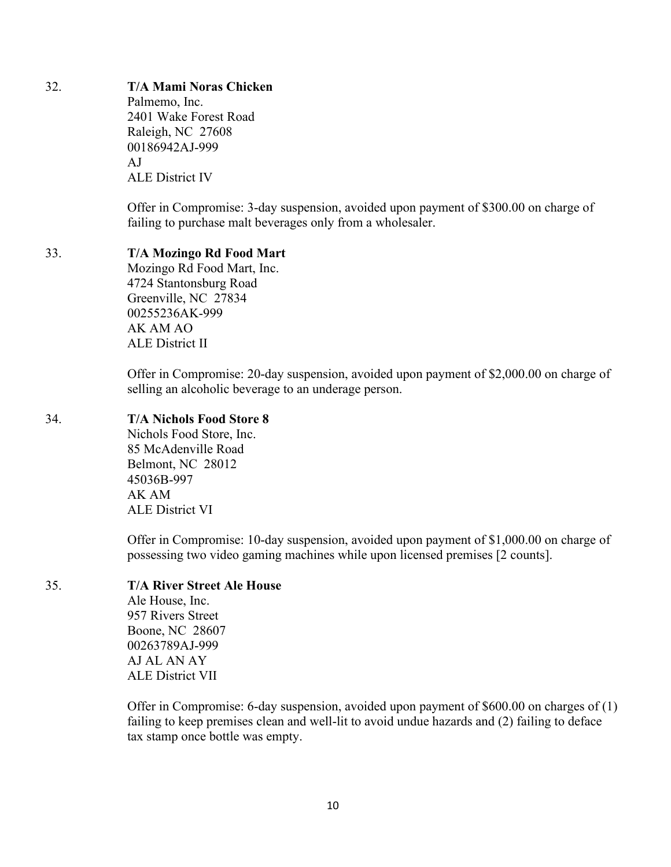# 32. **T/A Mami Noras Chicken**

Palmemo, Inc. 2401 Wake Forest Road Raleigh, NC 27608 00186942AJ-999 AJ ALE District IV

Offer in Compromise: 3-day suspension, avoided upon payment of \$300.00 on charge of failing to purchase malt beverages only from a wholesaler.

#### 33. **T/A Mozingo Rd Food Mart**

Mozingo Rd Food Mart, Inc. 4724 Stantonsburg Road Greenville, NC 27834 00255236AK-999 AK AM AO ALE District II

Offer in Compromise: 20-day suspension, avoided upon payment of \$2,000.00 on charge of selling an alcoholic beverage to an underage person.

#### 34. **T/A Nichols Food Store 8**

Nichols Food Store, Inc. 85 McAdenville Road Belmont, NC 28012 45036B-997 AK AM ALE District VI

Offer in Compromise: 10-day suspension, avoided upon payment of \$1,000.00 on charge of possessing two video gaming machines while upon licensed premises [2 counts].

# 35. **T/A River Street Ale House**

Ale House, Inc. 957 Rivers Street Boone, NC 28607 00263789AJ-999 AJ AL AN AY ALE District VII

Offer in Compromise: 6-day suspension, avoided upon payment of \$600.00 on charges of (1) failing to keep premises clean and well-lit to avoid undue hazards and (2) failing to deface tax stamp once bottle was empty.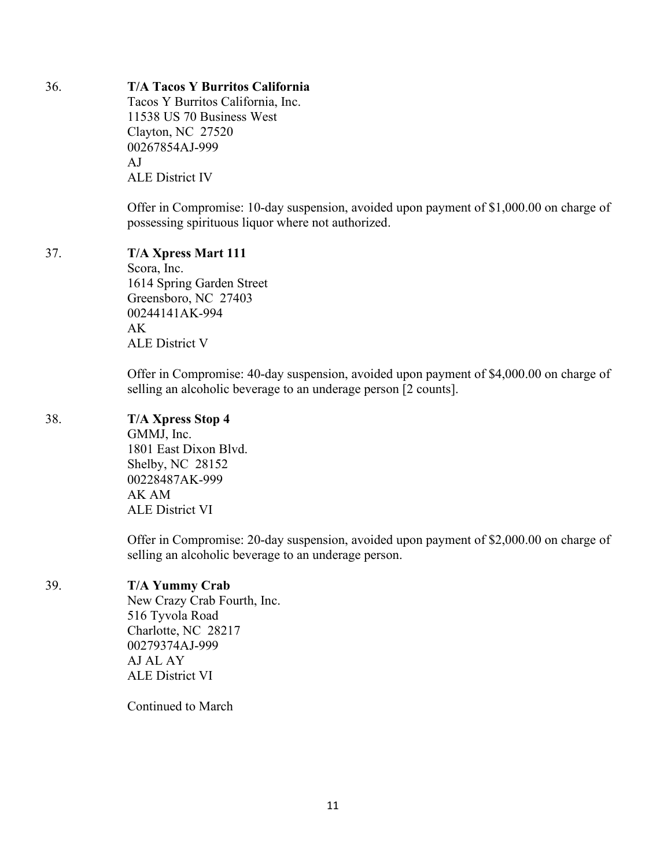# 36. **T/A Tacos Y Burritos California**

Tacos Y Burritos California, Inc. 11538 US 70 Business West Clayton, NC 27520 00267854AJ-999 AJ ALE District IV

Offer in Compromise: 10-day suspension, avoided upon payment of \$1,000.00 on charge of possessing spirituous liquor where not authorized.

# 37. **T/A Xpress Mart 111**

Scora, Inc. 1614 Spring Garden Street Greensboro, NC 27403 00244141AK-994 AK ALE District V

Offer in Compromise: 40-day suspension, avoided upon payment of \$4,000.00 on charge of selling an alcoholic beverage to an underage person [2 counts].

# 38. **T/A Xpress Stop 4**

GMMJ, Inc. 1801 East Dixon Blvd. Shelby, NC 28152 00228487AK-999 AK AM ALE District VI

Offer in Compromise: 20-day suspension, avoided upon payment of \$2,000.00 on charge of selling an alcoholic beverage to an underage person.

# 39. **T/A Yummy Crab**

New Crazy Crab Fourth, Inc. 516 Tyvola Road Charlotte, NC 28217 00279374AJ-999 AJ AL AY ALE District VI

Continued to March